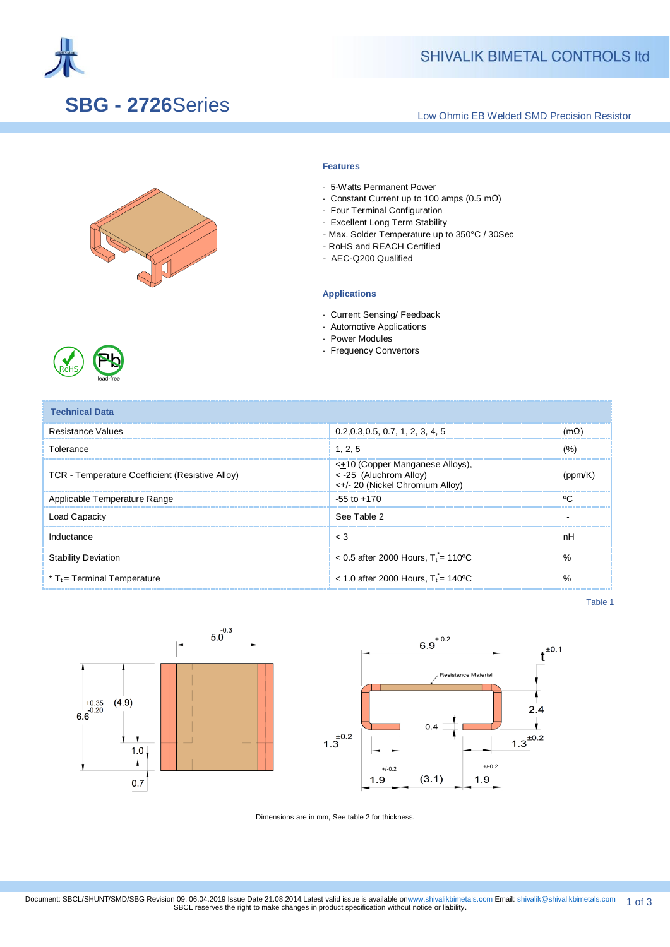

## **SBG - 2726**Series

## **SHIVALIK BIMETAL CONTROLS Itd**

Low Ohmic EB Welded SMD Precision Resistor



#### **Features**

- 5-Watts Permanent Power
- Constant Current up to 100 amps (0.5 mΩ)
- Four Terminal Configuration
- Excellent Long Term Stability
- Max. Solder Temperature up to 350°C / 30Sec
- RoHS and REACH Certified
- AEC-Q200 Qualified

#### **Applications**

- Current Sensing/ Feedback
- Automotive Applications
- Power Modules
- Frequency Convertors



| <b>Technical Data</b>                           |                                                                                                        |        |
|-------------------------------------------------|--------------------------------------------------------------------------------------------------------|--------|
| Resistance Values                               | 0.2, 0.3, 0.5, 0.7, 1, 2, 3, 4, 5                                                                      | (mΩ)   |
| Tolerance                                       | 1.2.5                                                                                                  | (%)    |
| TCR - Temperature Coefficient (Resistive Alloy) | <+10 (Copper Manganese Alloys),<br>< -25 (Aluchrom Alloy)<br>$\leftarrow +/20$ (Nickel Chromium Alloy) | 'nnm/  |
| Applicable Temperature Range                    | $-55$ to $+170$                                                                                        | $\sim$ |
| <b>Load Capacity</b>                            | See Table 2                                                                                            |        |
| Inductance                                      | $\leq 3$                                                                                               | nH     |
| <b>Stability Deviation</b>                      | $< 0.5$ after 2000 Hours. T <sub>i</sub> = 110 °C                                                      | %      |
| $*$ T <sub>t</sub> = Terminal Temperature       | < 1.0 after 2000 Hours, $T_i = 140^{\circ}$ C                                                          | $\%$   |

Table 1



Dimensions are in mm, See table 2 for thickness.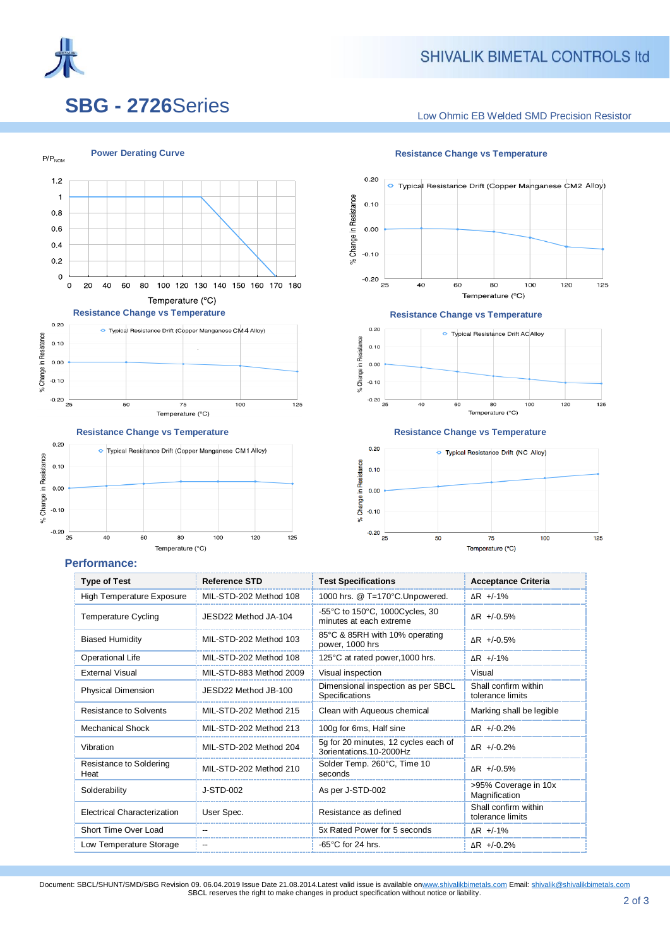

 $P/P<sub>NOM</sub>$ 

### **SHIVALIK BIMETAL CONTROLS Itd**

# **SBG - 2726**Series

Low Ohmic EB Welded SMD Precision Resistor







**Power Derating Curve Resistance Change vs Temperature** 







#### **Performance:**

| <b>Type of Test</b>             | <b>Reference STD</b>    | <b>Test Specifications</b>                                      | <b>Acceptance Criteria</b>               |  |
|---------------------------------|-------------------------|-----------------------------------------------------------------|------------------------------------------|--|
| High Temperature Exposure       | MIL-STD-202 Method 108  | 1000 hrs. @ T=170°C.Unpowered.                                  | $\triangle$ R +/-1%                      |  |
| Temperature Cycling             | JESD22 Method JA-104    | -55°C to 150°C, 1000Cycles, 30<br>minutes at each extreme       | $AR$ +/-0.5%                             |  |
| <b>Biased Humidity</b>          | MIL-STD-202 Method 103  | 85°C & 85RH with 10% operating<br>power, 1000 hrs               | $AR$ +/-0.5%                             |  |
| <b>Operational Life</b>         | MIL-STD-202 Method 108  | 125°C at rated power, 1000 hrs.                                 | $\triangle$ R +/-1%                      |  |
| <b>External Visual</b>          | MIL-STD-883 Method 2009 | Visual inspection                                               | Visual                                   |  |
| Physical Dimension              | JESD22 Method JB-100    | Dimensional inspection as per SBCL<br>Specifications            | Shall confirm within<br>tolerance limits |  |
| Resistance to Solvents          | MIL-STD-202 Method 215  | Clean with Aqueous chemical                                     | Marking shall be legible                 |  |
| Mechanical Shock                | MIL-STD-202 Method 213  | 100g for 6ms, Half sine                                         | $AR$ +/-0.2%                             |  |
| Vibration                       | MIL-STD-202 Method 204  | 5g for 20 minutes, 12 cycles each of<br>3orientations.10-2000Hz | $AR$ +/-0.2%                             |  |
| Resistance to Soldering<br>Heat | MIL-STD-202 Method 210  | Solder Temp. 260°C, Time 10<br>seconds                          | $AR$ +/-0.5%                             |  |
| Solderability                   | J-STD-002               | As per J-STD-002                                                | >95% Coverage in 10x<br>Magnification    |  |
| Electrical Characterization     | User Spec.              | Resistance as defined                                           | Shall confirm within<br>tolerance limits |  |
| Short Time Over Load            | --                      | 5x Rated Power for 5 seconds                                    | ΔR +/-1%                                 |  |
| Low Temperature Storage         | --                      | $-65^{\circ}$ C for 24 hrs.                                     | $\Delta$ R +/-0.2%                       |  |

Document: SBCL/SHUNT/SMD/SBG Revision 09. 06.04.2019 Issue Date 21.08.2014.Latest valid issue is available o[nwww.shivalikbimetals.com](http://www.shivalikbimetals.com/) Email[: shivalik@shivalikbimetals.com](mailto:smd@shivalikbimetals.com) SBCL reserves the right to make changes in product specification without notice or liability.